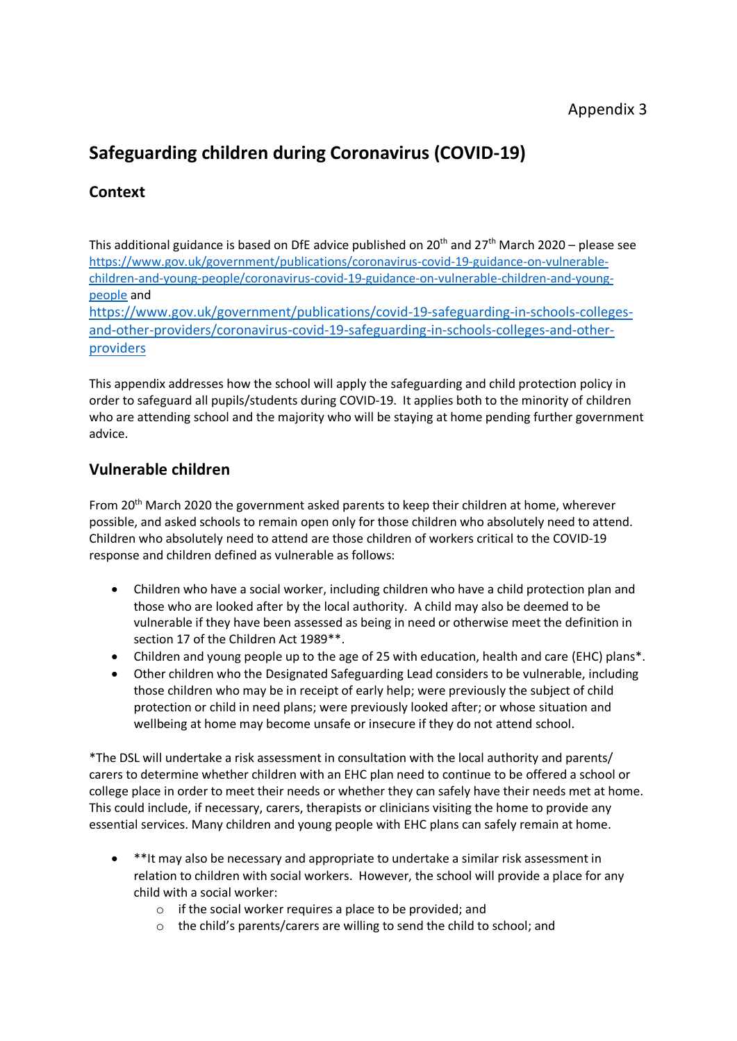### Appendix 3

# **Safeguarding children during Coronavirus (COVID-19)**

# **Context**

This additional guidance is based on DfE advice published on 20<sup>th</sup> and 27<sup>th</sup> March 2020 – please see [https://www.gov.uk/government/publications/coronavirus-covid-19-guidance-on-vulnerable](https://www.gov.uk/government/publications/coronavirus-covid-19-guidance-on-vulnerable-children-and-young-people/coronavirus-covid-19-guidance-on-vulnerable-children-and-young-people)[children-and-young-people/coronavirus-covid-19-guidance-on-vulnerable-children-and-young](https://www.gov.uk/government/publications/coronavirus-covid-19-guidance-on-vulnerable-children-and-young-people/coronavirus-covid-19-guidance-on-vulnerable-children-and-young-people)[people](https://www.gov.uk/government/publications/coronavirus-covid-19-guidance-on-vulnerable-children-and-young-people/coronavirus-covid-19-guidance-on-vulnerable-children-and-young-people) and [https://www.gov.uk/government/publications/covid-19-safeguarding-in-schools-colleges-](https://www.gov.uk/government/publications/covid-19-safeguarding-in-schools-colleges-and-other-providers/coronavirus-covid-19-safeguarding-in-schools-colleges-and-other-providers)

[and-other-providers/coronavirus-covid-19-safeguarding-in-schools-colleges-and-other](https://www.gov.uk/government/publications/covid-19-safeguarding-in-schools-colleges-and-other-providers/coronavirus-covid-19-safeguarding-in-schools-colleges-and-other-providers)[providers](https://www.gov.uk/government/publications/covid-19-safeguarding-in-schools-colleges-and-other-providers/coronavirus-covid-19-safeguarding-in-schools-colleges-and-other-providers)

This appendix addresses how the school will apply the safeguarding and child protection policy in order to safeguard all pupils/students during COVID-19. It applies both to the minority of children who are attending school and the majority who will be staying at home pending further government advice.

#### **Vulnerable children**

From 20<sup>th</sup> March 2020 the government asked parents to keep their children at home, wherever possible, and asked schools to remain open only for those children who absolutely need to attend. Children who absolutely need to attend are those children of workers critical to the COVID-19 response and children defined as vulnerable as follows:

- Children who have a social worker, including children who have a child protection plan and those who are looked after by the local authority. A child may also be deemed to be vulnerable if they have been assessed as being in need or otherwise meet the definition in section 17 of the Children Act 1989\*\*.
- Children and young people up to the age of 25 with education, health and care (EHC) plans\*.
- Other children who the Designated Safeguarding Lead considers to be vulnerable, including those children who may be in receipt of early help; were previously the subject of child protection or child in need plans; were previously looked after; or whose situation and wellbeing at home may become unsafe or insecure if they do not attend school.

\*The DSL will undertake a risk assessment in consultation with the local authority and parents/ carers to determine whether children with an EHC plan need to continue to be offered a school or college place in order to meet their needs or whether they can safely have their needs met at home. This could include, if necessary, carers, therapists or clinicians visiting the home to provide any essential services. Many children and young people with EHC plans can safely remain at home.

- \*\*It may also be necessary and appropriate to undertake a similar risk assessment in relation to children with social workers. However, the school will provide a place for any child with a social worker:
	- o if the social worker requires a place to be provided; and
	- o the child's parents/carers are willing to send the child to school; and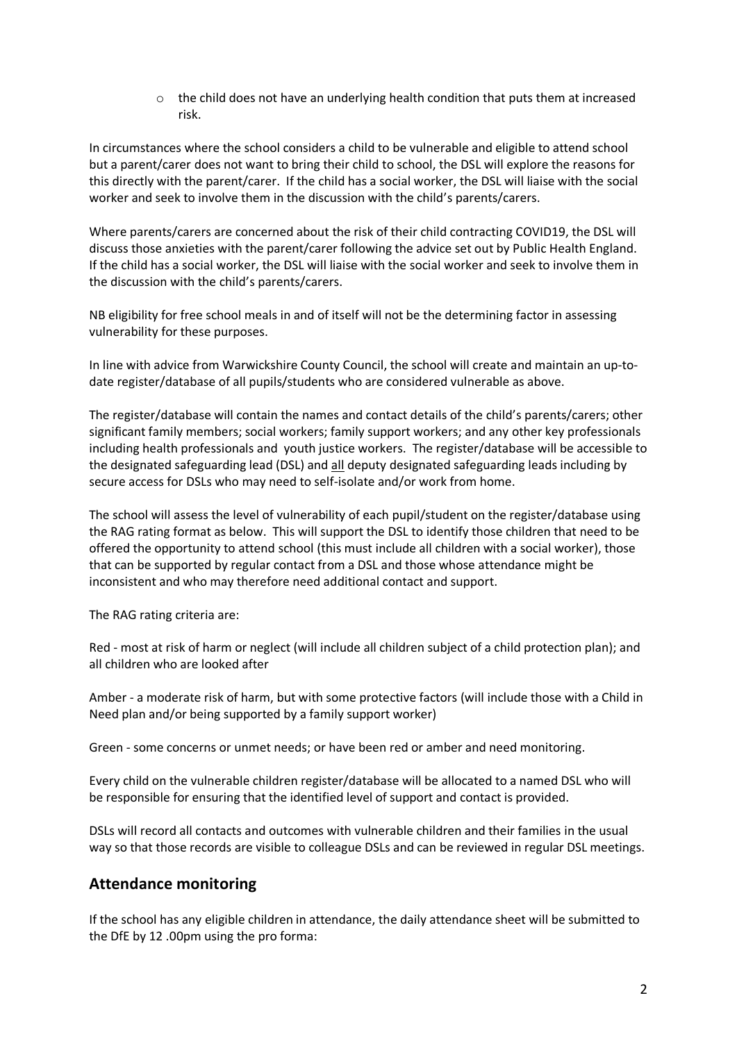$\circ$  the child does not have an underlying health condition that puts them at increased risk.

In circumstances where the school considers a child to be vulnerable and eligible to attend school but a parent/carer does not want to bring their child to school, the DSL will explore the reasons for this directly with the parent/carer. If the child has a social worker, the DSL will liaise with the social worker and seek to involve them in the discussion with the child's parents/carers.

Where parents/carers are concerned about the risk of their child contracting COVID19, the DSL will discuss those anxieties with the parent/carer following the advice set out by Public Health England. If the child has a social worker, the DSL will liaise with the social worker and seek to involve them in the discussion with the child's parents/carers.

NB eligibility for free school meals in and of itself will not be the determining factor in assessing vulnerability for these purposes.

In line with advice from Warwickshire County Council, the school will create and maintain an up-todate register/database of all pupils/students who are considered vulnerable as above.

The register/database will contain the names and contact details of the child's parents/carers; other significant family members; social workers; family support workers; and any other key professionals including health professionals and youth justice workers. The register/database will be accessible to the designated safeguarding lead (DSL) and all deputy designated safeguarding leads including by secure access for DSLs who may need to self-isolate and/or work from home.

The school will assess the level of vulnerability of each pupil/student on the register/database using the RAG rating format as below. This will support the DSL to identify those children that need to be offered the opportunity to attend school (this must include all children with a social worker), those that can be supported by regular contact from a DSL and those whose attendance might be inconsistent and who may therefore need additional contact and support.

The RAG rating criteria are:

Red - most at risk of harm or neglect (will include all children subject of a child protection plan); and all children who are looked after

Amber - a moderate risk of harm, but with some protective factors (will include those with a Child in Need plan and/or being supported by a family support worker)

Green - some concerns or unmet needs; or have been red or amber and need monitoring.

Every child on the vulnerable children register/database will be allocated to a named DSL who will be responsible for ensuring that the identified level of support and contact is provided.

DSLs will record all contacts and outcomes with vulnerable children and their families in the usual way so that those records are visible to colleague DSLs and can be reviewed in regular DSL meetings.

#### **Attendance monitoring**

If the school has any eligible children in attendance, the daily attendance sheet will be submitted to the DfE by 12 .00pm using the pro forma: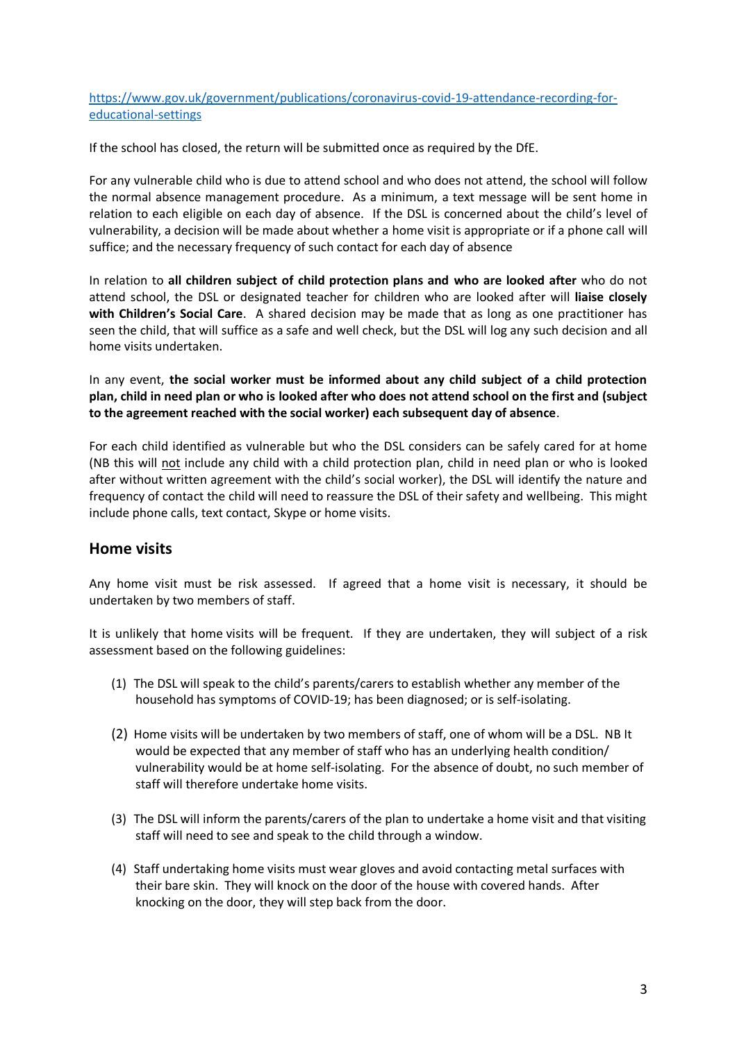[https://www.gov.uk/government/publications/coronavirus-covid-19-attendance-recording-for](https://www.gov.uk/government/publications/coronavirus-covid-19-attendance-recording-for-educational-settings)[educational-settings](https://www.gov.uk/government/publications/coronavirus-covid-19-attendance-recording-for-educational-settings)

If the school has closed, the return will be submitted once as required by the DfE.

For any vulnerable child who is due to attend school and who does not attend, the school will follow the normal absence management procedure. As a minimum, a text message will be sent home in relation to each eligible on each day of absence. If the DSL is concerned about the child's level of vulnerability, a decision will be made about whether a home visit is appropriate or if a phone call will suffice; and the necessary frequency of such contact for each day of absence

In relation to **all children subject of child protection plans and who are looked after** who do not attend school, the DSL or designated teacher for children who are looked after will **liaise closely with Children's Social Care**. A shared decision may be made that as long as one practitioner has seen the child, that will suffice as a safe and well check, but the DSL will log any such decision and all home visits undertaken.

In any event, **the social worker must be informed about any child subject of a child protection plan, child in need plan or who is looked after who does not attend school on the first and (subject to the agreement reached with the social worker) each subsequent day of absence**.

For each child identified as vulnerable but who the DSL considers can be safely cared for at home (NB this will not include any child with a child protection plan, child in need plan or who is looked after without written agreement with the child's social worker), the DSL will identify the nature and frequency of contact the child will need to reassure the DSL of their safety and wellbeing. This might include phone calls, text contact, Skype or home visits.

#### **Home visits**

Any home visit must be risk assessed. If agreed that a home visit is necessary, it should be undertaken by two members of staff.

It is unlikely that home visits will be frequent. If they are undertaken, they will subject of a risk assessment based on the following guidelines:

- (1) The DSL will speak to the child's parents/carers to establish whether any member of the household has symptoms of COVID-19; has been diagnosed; or is self-isolating.
- (2) Home visits will be undertaken by two members of staff, one of whom will be a DSL. NB It would be expected that any member of staff who has an underlying health condition/ vulnerability would be at home self-isolating. For the absence of doubt, no such member of staff will therefore undertake home visits.
- (3) The DSL will inform the parents/carers of the plan to undertake a home visit and that visiting staff will need to see and speak to the child through a window.
- (4) Staff undertaking home visits must wear gloves and avoid contacting metal surfaces with their bare skin. They will knock on the door of the house with covered hands. After knocking on the door, they will step back from the door.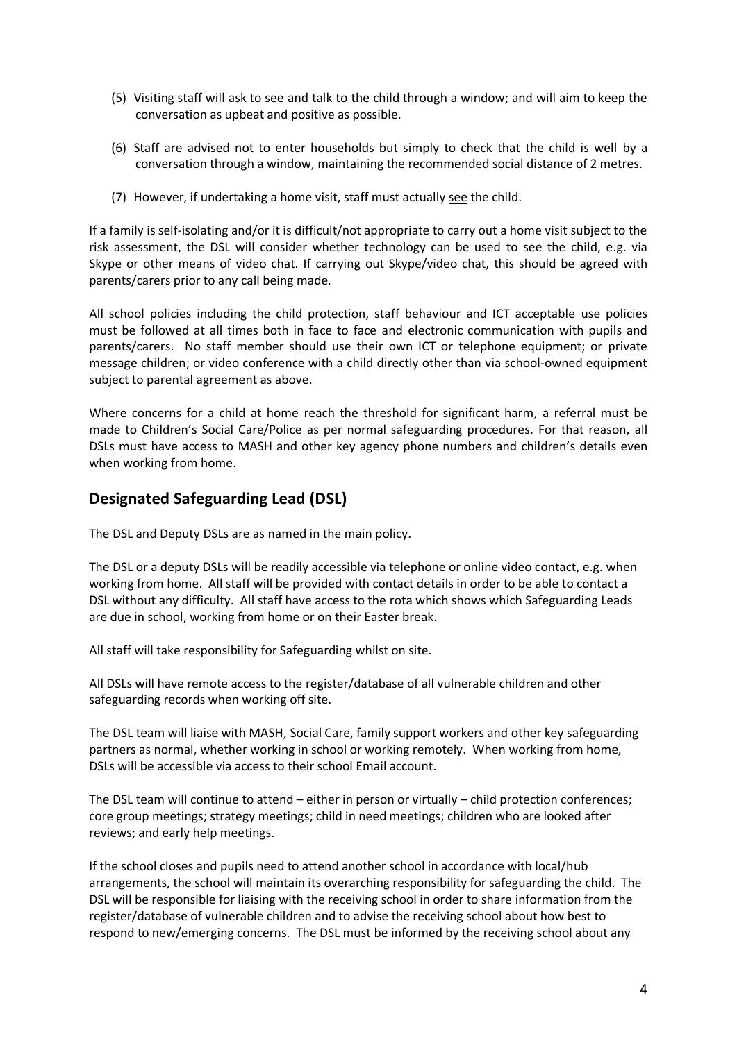- (5) Visiting staff will ask to see and talk to the child through a window; and will aim to keep the conversation as upbeat and positive as possible.
- (6) Staff are advised not to enter households but simply to check that the child is well by a conversation through a window, maintaining the recommended social distance of 2 metres.
- (7) However, if undertaking a home visit, staff must actually see the child.

If a family is self-isolating and/or it is difficult/not appropriate to carry out a home visit subject to the risk assessment, the DSL will consider whether technology can be used to see the child, e.g. via Skype or other means of video chat. If carrying out Skype/video chat, this should be agreed with parents/carers prior to any call being made.

All school policies including the child protection, staff behaviour and ICT acceptable use policies must be followed at all times both in face to face and electronic communication with pupils and parents/carers. No staff member should use their own ICT or telephone equipment; or private message children; or video conference with a child directly other than via school-owned equipment subject to parental agreement as above.

Where concerns for a child at home reach the threshold for significant harm, a referral must be made to Children's Social Care/Police as per normal safeguarding procedures. For that reason, all DSLs must have access to MASH and other key agency phone numbers and children's details even when working from home.

#### **Designated Safeguarding Lead (DSL)**

The DSL and Deputy DSLs are as named in the main policy.

The DSL or a deputy DSLs will be readily accessible via telephone or online video contact, e.g. when working from home. All staff will be provided with contact details in order to be able to contact a DSL without any difficulty. All staff have access to the rota which shows which Safeguarding Leads are due in school, working from home or on their Easter break.

All staff will take responsibility for Safeguarding whilst on site.

All DSLs will have remote access to the register/database of all vulnerable children and other safeguarding records when working off site.

The DSL team will liaise with MASH, Social Care, family support workers and other key safeguarding partners as normal, whether working in school or working remotely. When working from home, DSLs will be accessible via access to their school Email account.

The DSL team will continue to attend – either in person or virtually – child protection conferences; core group meetings; strategy meetings; child in need meetings; children who are looked after reviews; and early help meetings.

If the school closes and pupils need to attend another school in accordance with local/hub arrangements, the school will maintain its overarching responsibility for safeguarding the child. The DSL will be responsible for liaising with the receiving school in order to share information from the register/database of vulnerable children and to advise the receiving school about how best to respond to new/emerging concerns. The DSL must be informed by the receiving school about any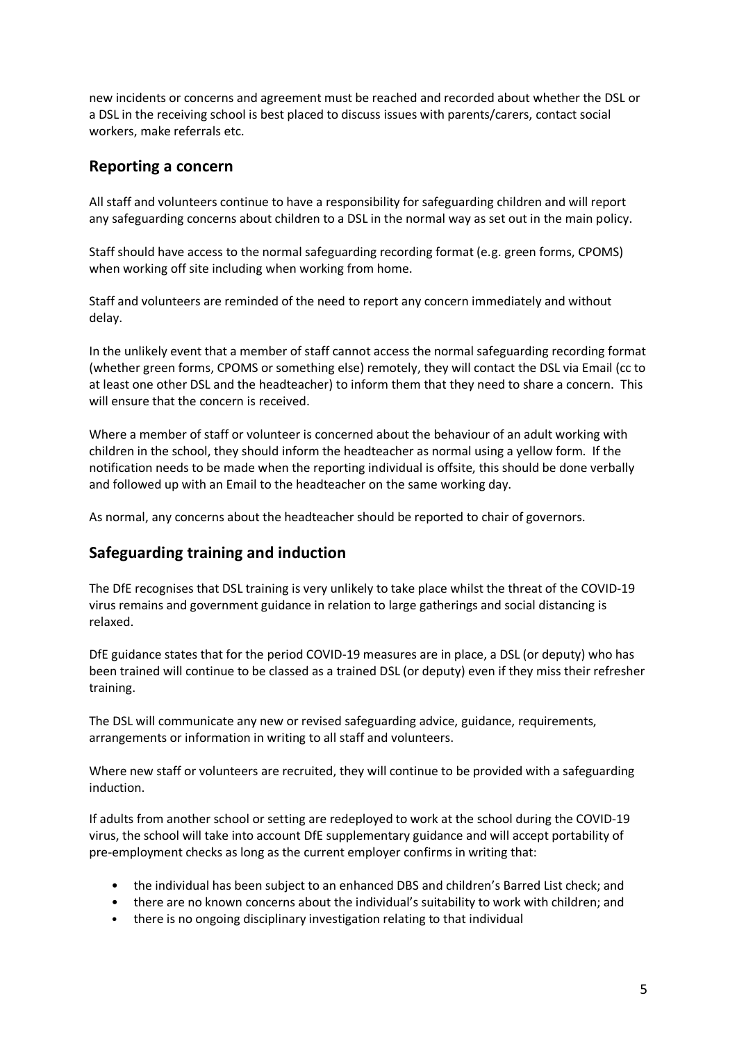new incidents or concerns and agreement must be reached and recorded about whether the DSL or a DSL in the receiving school is best placed to discuss issues with parents/carers, contact social workers, make referrals etc.

#### **Reporting a concern**

All staff and volunteers continue to have a responsibility for safeguarding children and will report any safeguarding concerns about children to a DSL in the normal way as set out in the main policy.

Staff should have access to the normal safeguarding recording format (e.g. green forms, CPOMS) when working off site including when working from home.

Staff and volunteers are reminded of the need to report any concern immediately and without delay.

In the unlikely event that a member of staff cannot access the normal safeguarding recording format (whether green forms, CPOMS or something else) remotely, they will contact the DSL via Email (cc to at least one other DSL and the headteacher) to inform them that they need to share a concern. This will ensure that the concern is received.

Where a member of staff or volunteer is concerned about the behaviour of an adult working with children in the school, they should inform the headteacher as normal using a yellow form. If the notification needs to be made when the reporting individual is offsite, this should be done verbally and followed up with an Email to the headteacher on the same working day.

As normal, any concerns about the headteacher should be reported to chair of governors.

#### **Safeguarding training and induction**

The DfE recognises that DSL training is very unlikely to take place whilst the threat of the COVID-19 virus remains and government guidance in relation to large gatherings and social distancing is relaxed.

DfE guidance states that for the period COVID-19 measures are in place, a DSL (or deputy) who has been trained will continue to be classed as a trained DSL (or deputy) even if they miss their refresher training.

The DSL will communicate any new or revised safeguarding advice, guidance, requirements, arrangements or information in writing to all staff and volunteers.

Where new staff or volunteers are recruited, they will continue to be provided with a safeguarding induction.

If adults from another school or setting are redeployed to work at the school during the COVID-19 virus, the school will take into account DfE supplementary guidance and will accept portability of pre-employment checks as long as the current employer confirms in writing that:

- the individual has been subject to an enhanced DBS and children's Barred List check; and
- there are no known concerns about the individual's suitability to work with children; and
- there is no ongoing disciplinary investigation relating to that individual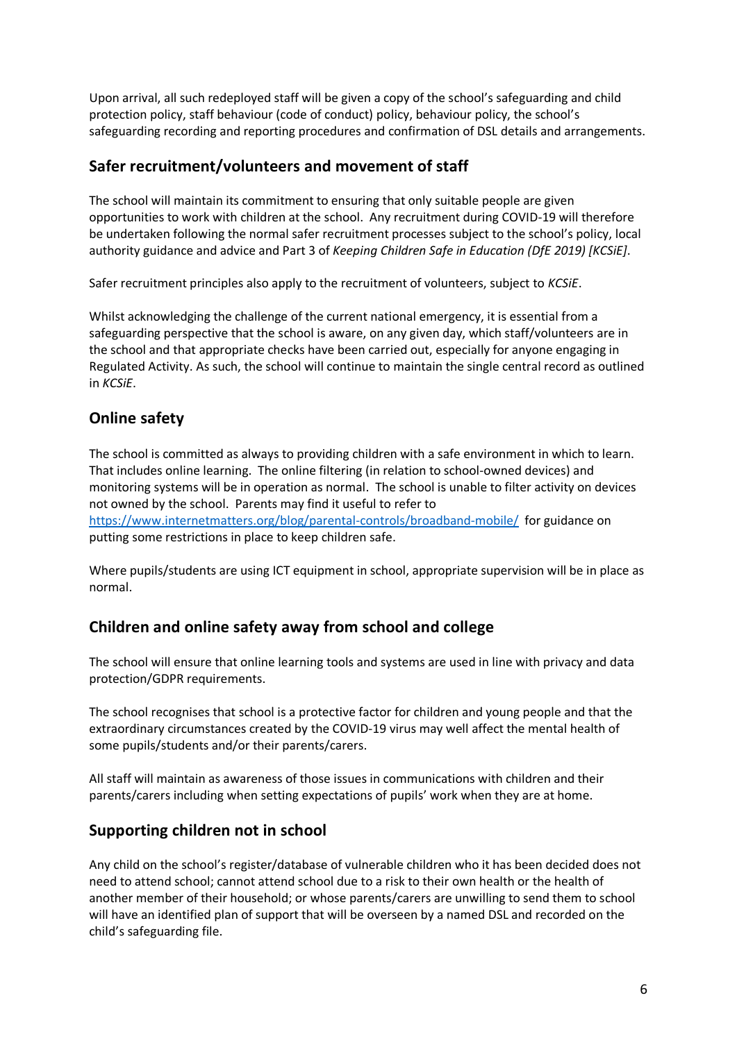Upon arrival, all such redeployed staff will be given a copy of the school's safeguarding and child protection policy, staff behaviour (code of conduct) policy, behaviour policy, the school's safeguarding recording and reporting procedures and confirmation of DSL details and arrangements.

# **Safer recruitment/volunteers and movement of staff**

The school will maintain its commitment to ensuring that only suitable people are given opportunities to work with children at the school. Any recruitment during COVID-19 will therefore be undertaken following the normal safer recruitment processes subject to the school's policy, local authority guidance and advice and Part 3 of *Keeping Children Safe in Education (DfE 2019) [KCSiE]*.

Safer recruitment principles also apply to the recruitment of volunteers, subject to *KCSiE*.

Whilst acknowledging the challenge of the current national emergency, it is essential from a safeguarding perspective that the school is aware, on any given day, which staff/volunteers are in the school and that appropriate checks have been carried out, especially for anyone engaging in Regulated Activity. As such, the school will continue to maintain the single central record as outlined in *KCSiE*.

### **Online safety**

The school is committed as always to providing children with a safe environment in which to learn. That includes online learning. The online filtering (in relation to school-owned devices) and monitoring systems will be in operation as normal. The school is unable to filter activity on devices not owned by the school. Parents may find it useful to refer to <https://www.internetmatters.org/blog/parental-controls/broadband-mobile/>for guidance on putting some restrictions in place to keep children safe.

Where pupils/students are using ICT equipment in school, appropriate supervision will be in place as normal.

# **Children and online safety away from school and college**

The school will ensure that online learning tools and systems are used in line with privacy and data protection/GDPR requirements.

The school recognises that school is a protective factor for children and young people and that the extraordinary circumstances created by the COVID-19 virus may well affect the mental health of some pupils/students and/or their parents/carers.

All staff will maintain as awareness of those issues in communications with children and their parents/carers including when setting expectations of pupils' work when they are at home.

#### **Supporting children not in school**

Any child on the school's register/database of vulnerable children who it has been decided does not need to attend school; cannot attend school due to a risk to their own health or the health of another member of their household; or whose parents/carers are unwilling to send them to school will have an identified plan of support that will be overseen by a named DSL and recorded on the child's safeguarding file.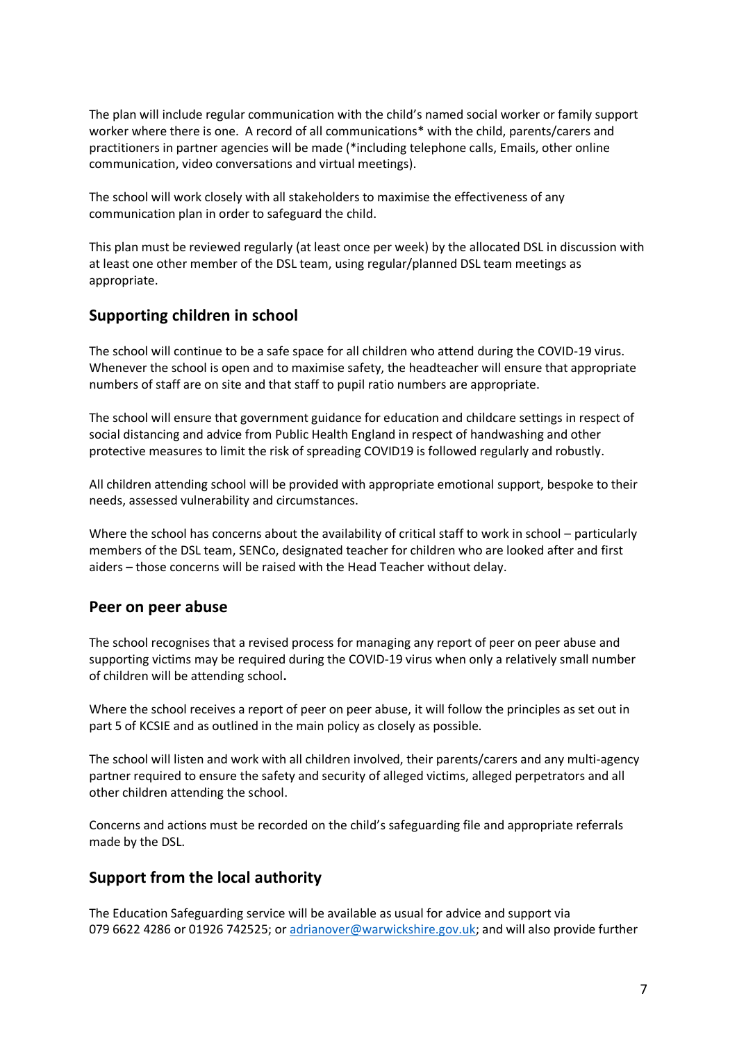The plan will include regular communication with the child's named social worker or family support worker where there is one. A record of all communications\* with the child, parents/carers and practitioners in partner agencies will be made (\*including telephone calls, Emails, other online communication, video conversations and virtual meetings).

The school will work closely with all stakeholders to maximise the effectiveness of any communication plan in order to safeguard the child.

This plan must be reviewed regularly (at least once per week) by the allocated DSL in discussion with at least one other member of the DSL team, using regular/planned DSL team meetings as appropriate.

#### **Supporting children in school**

The school will continue to be a safe space for all children who attend during the COVID-19 virus. Whenever the school is open and to maximise safety, the headteacher will ensure that appropriate numbers of staff are on site and that staff to pupil ratio numbers are appropriate.

The school will ensure that government guidance for education and childcare settings in respect of social distancing and advice from Public Health England in respect of handwashing and other protective measures to limit the risk of spreading COVID19 is followed regularly and robustly.

All children attending school will be provided with appropriate emotional support, bespoke to their needs, assessed vulnerability and circumstances.

Where the school has concerns about the availability of critical staff to work in school – particularly members of the DSL team, SENCo, designated teacher for children who are looked after and first aiders – those concerns will be raised with the Head Teacher without delay.

#### **Peer on peer abuse**

The school recognises that a revised process for managing any report of peer on peer abuse and supporting victims may be required during the COVID-19 virus when only a relatively small number of children will be attending school**.** 

Where the school receives a report of peer on peer abuse, it will follow the principles as set out in part 5 of KCSIE and as outlined in the main policy as closely as possible.

The school will listen and work with all children involved, their parents/carers and any multi-agency partner required to ensure the safety and security of alleged victims, alleged perpetrators and all other children attending the school.

Concerns and actions must be recorded on the child's safeguarding file and appropriate referrals made by the DSL.

#### **Support from the local authority**

The Education Safeguarding service will be available as usual for advice and support via 079 6622 4286 or 01926 742525; or [adrianover@warwickshire.gov.uk;](mailto:adrianover@warwickshire.gov.uk) and will also provide further